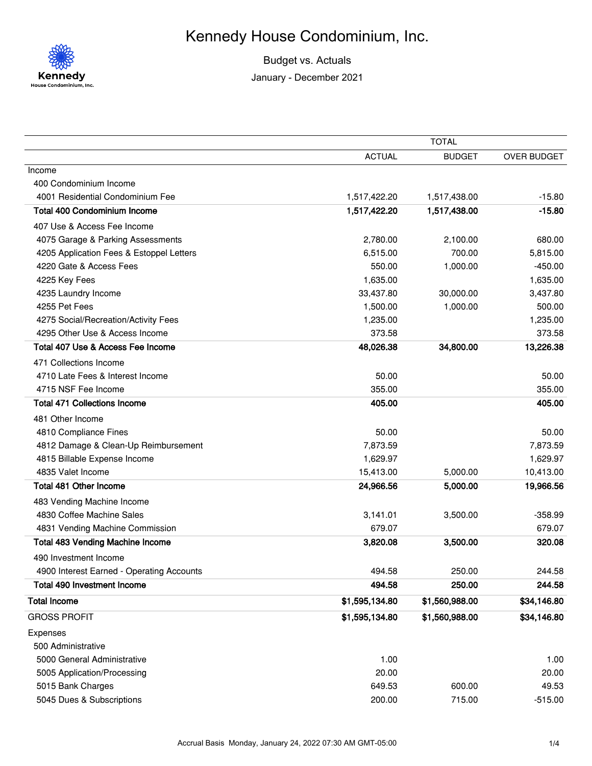

## Kennedy House Condominium, Inc.

Budget vs. Actuals

January - December 2021

|                                           | <b>TOTAL</b>   |                |             |
|-------------------------------------------|----------------|----------------|-------------|
|                                           | <b>ACTUAL</b>  | <b>BUDGET</b>  | OVER BUDGET |
| Income                                    |                |                |             |
| 400 Condominium Income                    |                |                |             |
| 4001 Residential Condominium Fee          | 1,517,422.20   | 1,517,438.00   | $-15.80$    |
| <b>Total 400 Condominium Income</b>       | 1,517,422.20   | 1,517,438.00   | $-15.80$    |
| 407 Use & Access Fee Income               |                |                |             |
| 4075 Garage & Parking Assessments         | 2,780.00       | 2,100.00       | 680.00      |
| 4205 Application Fees & Estoppel Letters  | 6,515.00       | 700.00         | 5,815.00    |
| 4220 Gate & Access Fees                   | 550.00         | 1,000.00       | $-450.00$   |
| 4225 Key Fees                             | 1,635.00       |                | 1,635.00    |
| 4235 Laundry Income                       | 33,437.80      | 30,000.00      | 3,437.80    |
| 4255 Pet Fees                             | 1,500.00       | 1,000.00       | 500.00      |
| 4275 Social/Recreation/Activity Fees      | 1,235.00       |                | 1,235.00    |
| 4295 Other Use & Access Income            | 373.58         |                | 373.58      |
| Total 407 Use & Access Fee Income         | 48,026.38      | 34,800.00      | 13,226.38   |
| 471 Collections Income                    |                |                |             |
| 4710 Late Fees & Interest Income          | 50.00          |                | 50.00       |
| 4715 NSF Fee Income                       | 355.00         |                | 355.00      |
| <b>Total 471 Collections Income</b>       | 405.00         |                | 405.00      |
| 481 Other Income                          |                |                |             |
| 4810 Compliance Fines                     | 50.00          |                | 50.00       |
| 4812 Damage & Clean-Up Reimbursement      | 7,873.59       |                | 7,873.59    |
| 4815 Billable Expense Income              | 1,629.97       |                | 1,629.97    |
| 4835 Valet Income                         | 15,413.00      | 5,000.00       | 10,413.00   |
| Total 481 Other Income                    | 24,966.56      | 5,000.00       | 19,966.56   |
| 483 Vending Machine Income                |                |                |             |
| 4830 Coffee Machine Sales                 | 3,141.01       | 3,500.00       | $-358.99$   |
| 4831 Vending Machine Commission           | 679.07         |                | 679.07      |
| Total 483 Vending Machine Income          | 3,820.08       | 3,500.00       | 320.08      |
| 490 Investment Income                     |                |                |             |
| 4900 Interest Earned - Operating Accounts | 494.58         | 250.00         | 244.58      |
| Total 490 Investment Income               | 494.58         | 250.00         | 244.58      |
| <b>Total Income</b>                       | \$1,595,134.80 | \$1,560,988.00 | \$34,146.80 |
| <b>GROSS PROFIT</b>                       | \$1,595,134.80 | \$1,560,988.00 | \$34,146.80 |
| Expenses                                  |                |                |             |
| 500 Administrative                        |                |                |             |
| 5000 General Administrative               | 1.00           |                | 1.00        |
| 5005 Application/Processing               | 20.00          |                | 20.00       |
| 5015 Bank Charges                         | 649.53         | 600.00         | 49.53       |
| 5045 Dues & Subscriptions                 | 200.00         | 715.00         | $-515.00$   |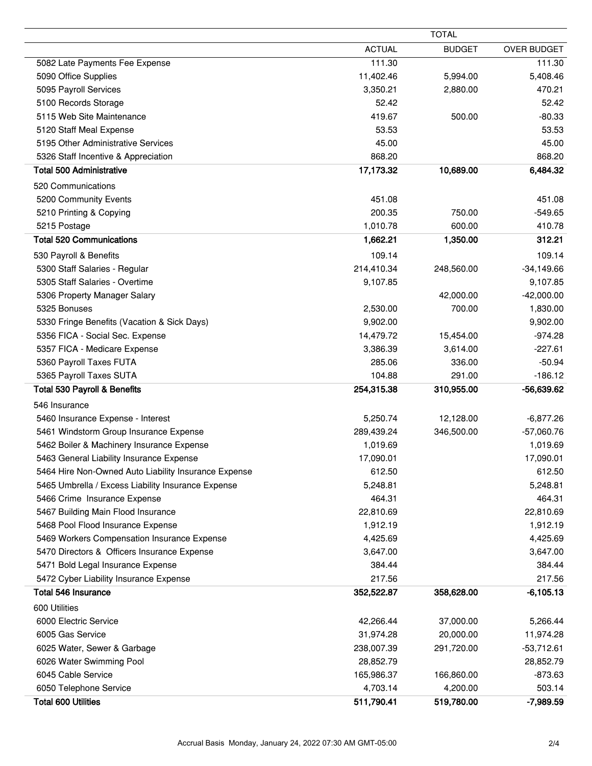|                                                                         |               | <b>TOTAL</b>  |                    |  |
|-------------------------------------------------------------------------|---------------|---------------|--------------------|--|
|                                                                         | <b>ACTUAL</b> | <b>BUDGET</b> | <b>OVER BUDGET</b> |  |
| 5082 Late Payments Fee Expense                                          | 111.30        |               | 111.30             |  |
| 5090 Office Supplies                                                    | 11,402.46     | 5,994.00      | 5,408.46           |  |
| 5095 Payroll Services                                                   | 3,350.21      | 2,880.00      | 470.21             |  |
| 5100 Records Storage                                                    | 52.42         |               | 52.42              |  |
| 5115 Web Site Maintenance                                               | 419.67        | 500.00        | $-80.33$           |  |
| 5120 Staff Meal Expense                                                 | 53.53         |               | 53.53              |  |
| 5195 Other Administrative Services                                      | 45.00         |               | 45.00              |  |
| 5326 Staff Incentive & Appreciation                                     | 868.20        |               | 868.20             |  |
| <b>Total 500 Administrative</b>                                         | 17,173.32     | 10,689.00     | 6,484.32           |  |
| 520 Communications                                                      |               |               |                    |  |
| 5200 Community Events                                                   | 451.08        |               | 451.08             |  |
| 5210 Printing & Copying                                                 | 200.35        | 750.00        | $-549.65$          |  |
| 5215 Postage                                                            | 1,010.78      | 600.00        | 410.78             |  |
| <b>Total 520 Communications</b>                                         | 1,662.21      | 1,350.00      | 312.21             |  |
| 530 Payroll & Benefits                                                  | 109.14        |               | 109.14             |  |
| 5300 Staff Salaries - Regular                                           | 214,410.34    | 248,560.00    | $-34,149.66$       |  |
| 5305 Staff Salaries - Overtime                                          | 9,107.85      |               | 9,107.85           |  |
| 5306 Property Manager Salary                                            |               | 42,000.00     | $-42,000.00$       |  |
| 5325 Bonuses                                                            | 2,530.00      | 700.00        | 1,830.00           |  |
| 5330 Fringe Benefits (Vacation & Sick Days)                             | 9,902.00      |               | 9,902.00           |  |
| 5356 FICA - Social Sec. Expense                                         | 14,479.72     | 15,454.00     | $-974.28$          |  |
| 5357 FICA - Medicare Expense                                            | 3,386.39      | 3,614.00      | $-227.61$          |  |
| 5360 Payroll Taxes FUTA                                                 | 285.06        | 336.00        | $-50.94$           |  |
| 5365 Payroll Taxes SUTA                                                 | 104.88        | 291.00        | $-186.12$          |  |
| <b>Total 530 Payroll &amp; Benefits</b>                                 | 254,315.38    | 310,955.00    | -56,639.62         |  |
| 546 Insurance                                                           |               |               |                    |  |
| 5460 Insurance Expense - Interest                                       | 5,250.74      | 12,128.00     | $-6,877.26$        |  |
| 5461 Windstorm Group Insurance Expense                                  | 289,439.24    | 346,500.00    | $-57,060.76$       |  |
| 5462 Boiler & Machinery Insurance Expense                               | 1,019.69      |               | 1,019.69           |  |
| 5463 General Liability Insurance Expense                                | 17,090.01     |               | 17,090.01          |  |
| 5464 Hire Non-Owned Auto Liability Insurance Expense                    | 612.50        |               | 612.50             |  |
| 5465 Umbrella / Excess Liability Insurance Expense                      | 5,248.81      |               | 5,248.81           |  |
| 5466 Crime Insurance Expense                                            | 464.31        |               | 464.31             |  |
|                                                                         | 22,810.69     |               | 22,810.69          |  |
| 5467 Building Main Flood Insurance<br>5468 Pool Flood Insurance Expense | 1,912.19      |               | 1,912.19           |  |
|                                                                         | 4,425.69      |               | 4,425.69           |  |
| 5469 Workers Compensation Insurance Expense                             |               |               |                    |  |
| 5470 Directors & Officers Insurance Expense                             | 3,647.00      |               | 3,647.00           |  |
| 5471 Bold Legal Insurance Expense                                       | 384.44        |               | 384.44             |  |
| 5472 Cyber Liability Insurance Expense<br><b>Total 546 Insurance</b>    | 217.56        |               | 217.56             |  |
|                                                                         | 352,522.87    | 358,628.00    | $-6,105.13$        |  |
| 600 Utilities                                                           |               |               |                    |  |
| 6000 Electric Service                                                   | 42,266.44     | 37,000.00     | 5,266.44           |  |
| 6005 Gas Service                                                        | 31,974.28     | 20,000.00     | 11,974.28          |  |
| 6025 Water, Sewer & Garbage                                             | 238,007.39    | 291,720.00    | $-53,712.61$       |  |
| 6026 Water Swimming Pool                                                | 28,852.79     |               | 28,852.79          |  |
| 6045 Cable Service                                                      | 165,986.37    | 166,860.00    | $-873.63$          |  |
| 6050 Telephone Service                                                  | 4,703.14      | 4,200.00      | 503.14             |  |
| <b>Total 600 Utilities</b>                                              | 511,790.41    | 519,780.00    | $-7,989.59$        |  |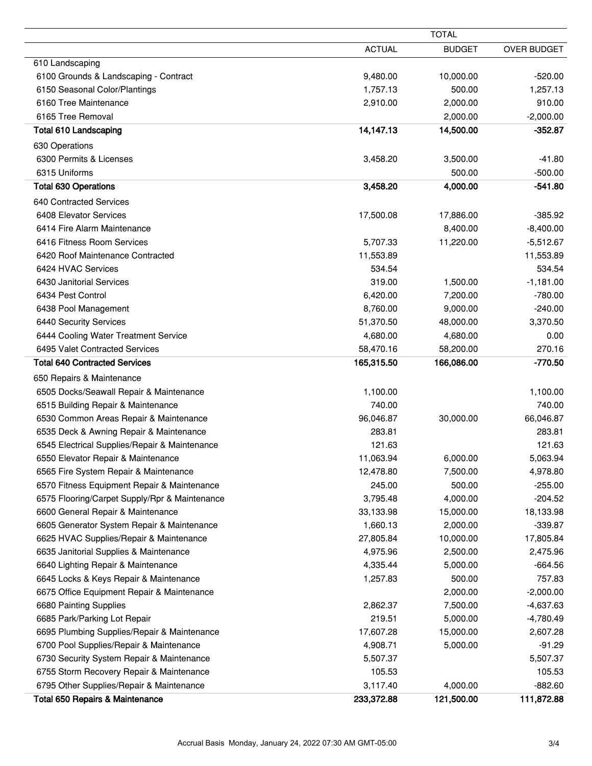|                                               | <b>TOTAL</b>  |               |                    |
|-----------------------------------------------|---------------|---------------|--------------------|
|                                               | <b>ACTUAL</b> | <b>BUDGET</b> | <b>OVER BUDGET</b> |
| 610 Landscaping                               |               |               |                    |
| 6100 Grounds & Landscaping - Contract         | 9,480.00      | 10,000.00     | $-520.00$          |
| 6150 Seasonal Color/Plantings                 | 1,757.13      | 500.00        | 1,257.13           |
| 6160 Tree Maintenance                         | 2,910.00      | 2,000.00      | 910.00             |
| 6165 Tree Removal                             |               | 2,000.00      | $-2,000.00$        |
| <b>Total 610 Landscaping</b>                  | 14,147.13     | 14,500.00     | $-352.87$          |
| 630 Operations                                |               |               |                    |
| 6300 Permits & Licenses                       | 3,458.20      | 3,500.00      | $-41.80$           |
| 6315 Uniforms                                 |               | 500.00        | $-500.00$          |
| <b>Total 630 Operations</b>                   | 3,458.20      | 4,000.00      | $-541.80$          |
| 640 Contracted Services                       |               |               |                    |
| 6408 Elevator Services                        | 17,500.08     | 17,886.00     | $-385.92$          |
| 6414 Fire Alarm Maintenance                   |               | 8,400.00      | $-8,400.00$        |
| 6416 Fitness Room Services                    | 5,707.33      | 11,220.00     | $-5,512.67$        |
| 6420 Roof Maintenance Contracted              | 11,553.89     |               | 11,553.89          |
| 6424 HVAC Services                            | 534.54        |               | 534.54             |
| 6430 Janitorial Services                      | 319.00        | 1,500.00      | $-1,181.00$        |
| 6434 Pest Control                             | 6,420.00      | 7,200.00      | $-780.00$          |
| 6438 Pool Management                          | 8,760.00      | 9,000.00      | $-240.00$          |
| 6440 Security Services                        | 51,370.50     | 48,000.00     | 3,370.50           |
| 6444 Cooling Water Treatment Service          | 4,680.00      | 4,680.00      | 0.00               |
| 6495 Valet Contracted Services                | 58,470.16     | 58,200.00     | 270.16             |
| <b>Total 640 Contracted Services</b>          | 165,315.50    | 166,086.00    | $-770.50$          |
|                                               |               |               |                    |
| 650 Repairs & Maintenance                     |               |               |                    |
| 6505 Docks/Seawall Repair & Maintenance       | 1,100.00      |               | 1,100.00           |
| 6515 Building Repair & Maintenance            | 740.00        |               | 740.00             |
| 6530 Common Areas Repair & Maintenance        | 96,046.87     | 30,000.00     | 66,046.87          |
| 6535 Deck & Awning Repair & Maintenance       | 283.81        |               | 283.81             |
| 6545 Electrical Supplies/Repair & Maintenance | 121.63        |               | 121.63             |
| 6550 Elevator Repair & Maintenance            | 11,063.94     | 6,000.00      | 5,063.94           |
| 6565 Fire System Repair & Maintenance         | 12,478.80     | 7,500.00      | 4,978.80           |
| 6570 Fitness Equipment Repair & Maintenance   | 245.00        | 500.00        | $-255.00$          |
| 6575 Flooring/Carpet Supply/Rpr & Maintenance | 3,795.48      | 4,000.00      | $-204.52$          |
| 6600 General Repair & Maintenance             | 33,133.98     | 15,000.00     | 18,133.98          |
| 6605 Generator System Repair & Maintenance    | 1,660.13      | 2,000.00      | $-339.87$          |
| 6625 HVAC Supplies/Repair & Maintenance       | 27,805.84     | 10,000.00     | 17,805.84          |
| 6635 Janitorial Supplies & Maintenance        | 4,975.96      | 2,500.00      | 2,475.96           |
| 6640 Lighting Repair & Maintenance            | 4,335.44      | 5,000.00      | $-664.56$          |
| 6645 Locks & Keys Repair & Maintenance        | 1,257.83      | 500.00        | 757.83             |
| 6675 Office Equipment Repair & Maintenance    |               | 2,000.00      | $-2,000.00$        |
| 6680 Painting Supplies                        | 2,862.37      | 7,500.00      | $-4,637.63$        |
| 6685 Park/Parking Lot Repair                  | 219.51        | 5,000.00      | $-4,780.49$        |
| 6695 Plumbing Supplies/Repair & Maintenance   | 17,607.28     | 15,000.00     | 2,607.28           |
| 6700 Pool Supplies/Repair & Maintenance       | 4,908.71      | 5,000.00      | $-91.29$           |
| 6730 Security System Repair & Maintenance     | 5,507.37      |               | 5,507.37           |
| 6755 Storm Recovery Repair & Maintenance      | 105.53        |               | 105.53             |
| 6795 Other Supplies/Repair & Maintenance      | 3,117.40      | 4,000.00      | $-882.60$          |
| <b>Total 650 Repairs &amp; Maintenance</b>    | 233,372.88    | 121,500.00    | 111,872.88         |